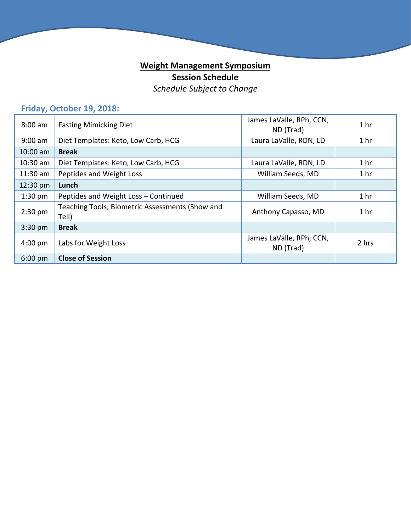## **Weight Management Symposium Session Schedule** *Schedule Subject to Change*

## **Friday, October 19, 2018:**

| $8:00$ am         | <b>Fasting Mimicking Diet</b>                            | James LaValle, RPh, CCN,<br>ND (Trad) | 1 <sub>hr</sub> |
|-------------------|----------------------------------------------------------|---------------------------------------|-----------------|
| $9:00$ am         | Diet Templates: Keto, Low Carb, HCG                      | Laura LaValle, RDN, LD                | 1 <sub>hr</sub> |
| $10:00$ am        | <b>Break</b>                                             |                                       |                 |
| $10:30$ am        | Diet Templates: Keto, Low Carb, HCG                      | Laura LaValle, RDN, LD                | 1 <sub>hr</sub> |
| $11:30$ am        | Peptides and Weight Loss                                 | William Seeds, MD                     | 1 <sub>hr</sub> |
| 12:30 pm          | Lunch                                                    |                                       |                 |
| $1:30$ pm         | Peptides and Weight Loss - Continued                     | William Seeds, MD                     | 1 <sub>hr</sub> |
| $2:30$ pm         | Teaching Tools; Biometric Assessments (Show and<br>Tell) | Anthony Capasso, MD                   | 1 <sub>hr</sub> |
| $3:30$ pm         | <b>Break</b>                                             |                                       |                 |
| $4:00 \text{ pm}$ | Labs for Weight Loss                                     | James LaValle, RPh, CCN,<br>ND (Trad) | 2 hrs           |
| $6:00$ pm         | <b>Close of Session</b>                                  |                                       |                 |